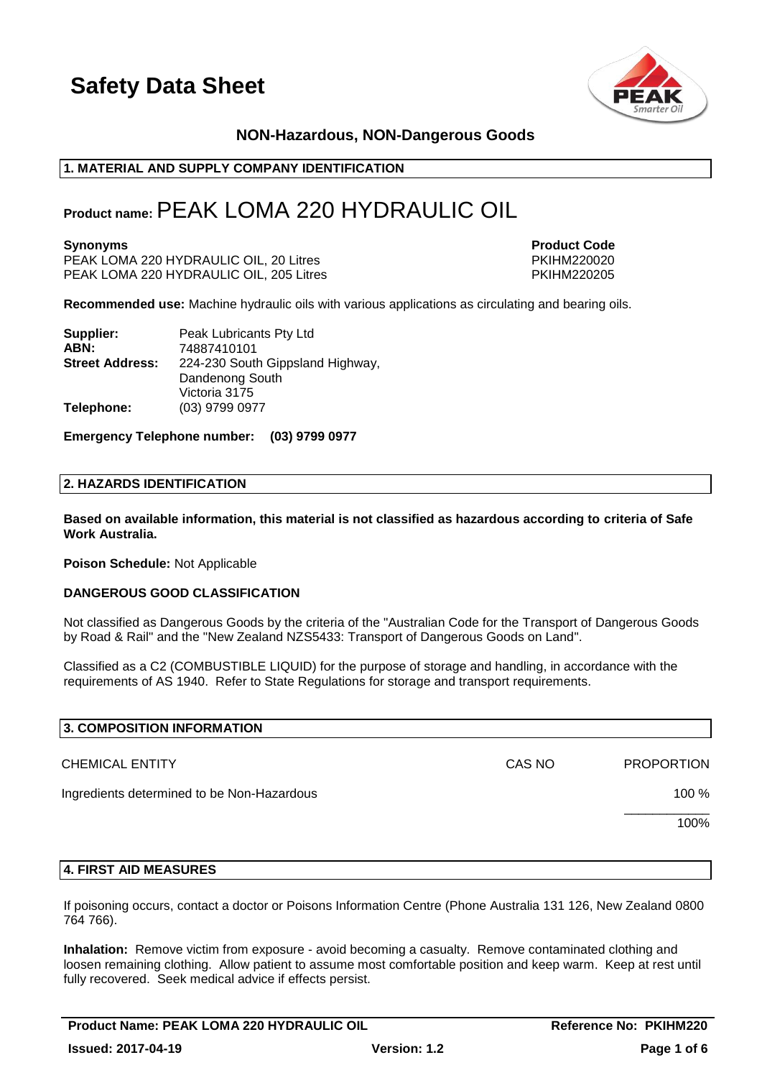

# **NON-Hazardous, NON-Dangerous Goods**

#### **1. MATERIAL AND SUPPLY COMPANY IDENTIFICATION**

# **Product name:**PEAK LOMA 220 HYDRAULIC OIL

PEAK LOMA 220 HYDRAULIC OIL, 20 Litres PKIHM220020 PEAK LOMA 220 HYDRAULIC OIL, 205 Litres

**Synonyms Product Code** 

**Recommended use:** Machine hydraulic oils with various applications as circulating and bearing oils.

| Supplier:              | Peak Lubricants Pty Ltd          |
|------------------------|----------------------------------|
| ABN:                   | 74887410101                      |
| <b>Street Address:</b> | 224-230 South Gippsland Highway, |
|                        | Dandenong South                  |
|                        | Victoria 3175                    |
| Telephone:             | (03) 9799 0977                   |

**Emergency Telephone number: (03) 9799 0977**

#### **2. HAZARDS IDENTIFICATION**

**Based on available information, this material is not classified as hazardous according to criteria of Safe Work Australia.**

**Poison Schedule:** Not Applicable

#### **DANGEROUS GOOD CLASSIFICATION**

Not classified as Dangerous Goods by the criteria of the "Australian Code for the Transport of Dangerous Goods by Road & Rail" and the "New Zealand NZS5433: Transport of Dangerous Goods on Land".

Classified as a C2 (COMBUSTIBLE LIQUID) for the purpose of storage and handling, in accordance with the requirements of AS 1940. Refer to State Regulations for storage and transport requirements.

| 3. COMPOSITION INFORMATION                 |        |                   |
|--------------------------------------------|--------|-------------------|
| <b>CHEMICAL ENTITY</b>                     | CAS NO | <b>PROPORTION</b> |
| Ingredients determined to be Non-Hazardous |        | 100 %             |
|                                            |        | 100%              |
|                                            |        |                   |

#### **4. FIRST AID MEASURES**

If poisoning occurs, contact a doctor or Poisons Information Centre (Phone Australia 131 126, New Zealand 0800 764 766).

**Inhalation:** Remove victim from exposure - avoid becoming a casualty. Remove contaminated clothing and loosen remaining clothing. Allow patient to assume most comfortable position and keep warm. Keep at rest until fully recovered. Seek medical advice if effects persist.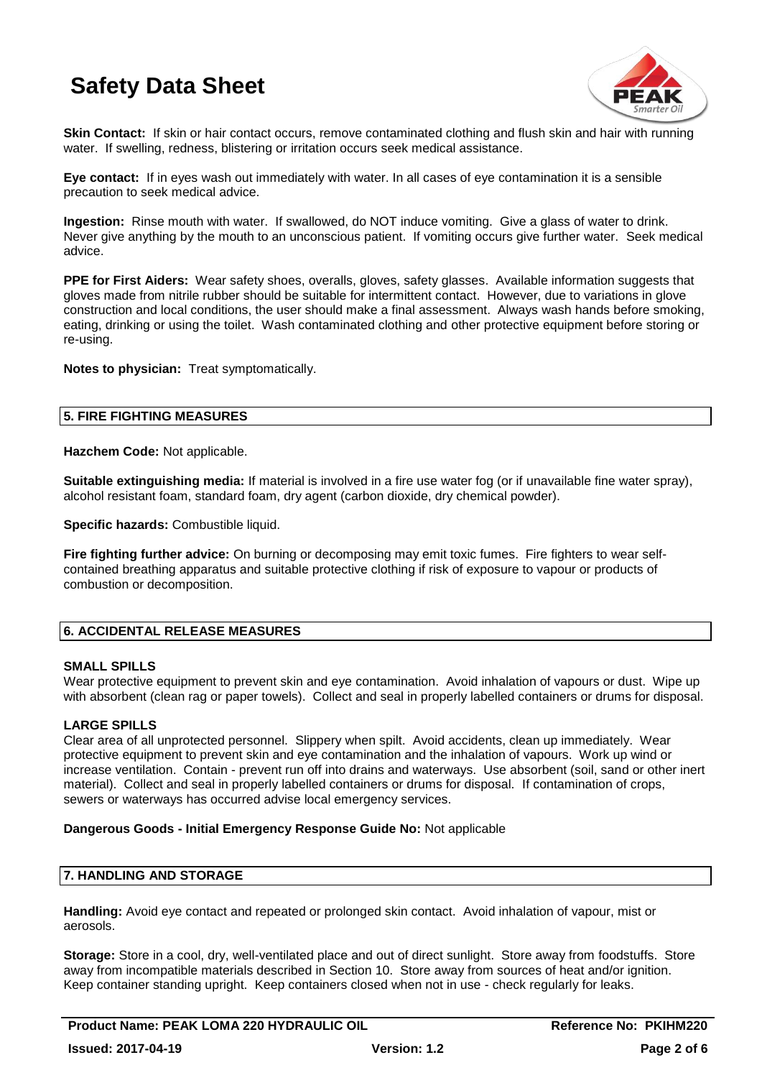

**Skin Contact:** If skin or hair contact occurs, remove contaminated clothing and flush skin and hair with running water. If swelling, redness, blistering or irritation occurs seek medical assistance.

**Eye contact:** If in eyes wash out immediately with water. In all cases of eye contamination it is a sensible precaution to seek medical advice.

**Ingestion:** Rinse mouth with water. If swallowed, do NOT induce vomiting. Give a glass of water to drink. Never give anything by the mouth to an unconscious patient. If vomiting occurs give further water. Seek medical advice.

**PPE for First Aiders:** Wear safety shoes, overalls, gloves, safety glasses. Available information suggests that gloves made from nitrile rubber should be suitable for intermittent contact. However, due to variations in glove construction and local conditions, the user should make a final assessment. Always wash hands before smoking, eating, drinking or using the toilet. Wash contaminated clothing and other protective equipment before storing or re-using.

**Notes to physician:** Treat symptomatically.

# **5. FIRE FIGHTING MEASURES**

**Hazchem Code:** Not applicable.

**Suitable extinguishing media:** If material is involved in a fire use water fog (or if unavailable fine water spray), alcohol resistant foam, standard foam, dry agent (carbon dioxide, dry chemical powder).

**Specific hazards:** Combustible liquid.

**Fire fighting further advice:** On burning or decomposing may emit toxic fumes. Fire fighters to wear selfcontained breathing apparatus and suitable protective clothing if risk of exposure to vapour or products of combustion or decomposition.

# **6. ACCIDENTAL RELEASE MEASURES**

### **SMALL SPILLS**

Wear protective equipment to prevent skin and eye contamination. Avoid inhalation of vapours or dust. Wipe up with absorbent (clean rag or paper towels). Collect and seal in properly labelled containers or drums for disposal.

# **LARGE SPILLS**

Clear area of all unprotected personnel. Slippery when spilt. Avoid accidents, clean up immediately. Wear protective equipment to prevent skin and eye contamination and the inhalation of vapours. Work up wind or increase ventilation. Contain - prevent run off into drains and waterways. Use absorbent (soil, sand or other inert material). Collect and seal in properly labelled containers or drums for disposal. If contamination of crops, sewers or waterways has occurred advise local emergency services.

#### **Dangerous Goods - Initial Emergency Response Guide No:** Not applicable

### **7. HANDLING AND STORAGE**

**Handling:** Avoid eye contact and repeated or prolonged skin contact. Avoid inhalation of vapour, mist or aerosols.

**Storage:** Store in a cool, dry, well-ventilated place and out of direct sunlight. Store away from foodstuffs. Store away from incompatible materials described in Section 10. Store away from sources of heat and/or ignition. Keep container standing upright. Keep containers closed when not in use - check regularly for leaks.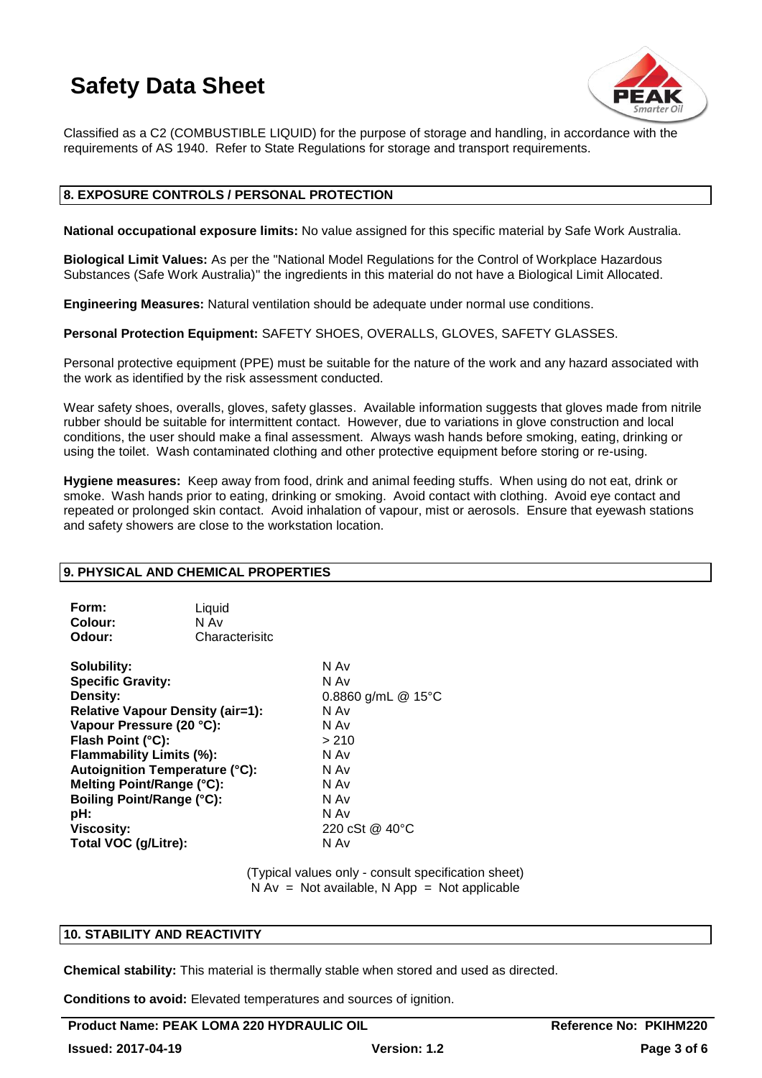

Classified as a C2 (COMBUSTIBLE LIQUID) for the purpose of storage and handling, in accordance with the requirements of AS 1940. Refer to State Regulations for storage and transport requirements.

### **8. EXPOSURE CONTROLS / PERSONAL PROTECTION**

**National occupational exposure limits:** No value assigned for this specific material by Safe Work Australia.

**Biological Limit Values:** As per the "National Model Regulations for the Control of Workplace Hazardous Substances (Safe Work Australia)" the ingredients in this material do not have a Biological Limit Allocated.

**Engineering Measures:** Natural ventilation should be adequate under normal use conditions.

**Personal Protection Equipment:** SAFETY SHOES, OVERALLS, GLOVES, SAFETY GLASSES.

Personal protective equipment (PPE) must be suitable for the nature of the work and any hazard associated with the work as identified by the risk assessment conducted.

Wear safety shoes, overalls, gloves, safety glasses. Available information suggests that gloves made from nitrile rubber should be suitable for intermittent contact. However, due to variations in glove construction and local conditions, the user should make a final assessment. Always wash hands before smoking, eating, drinking or using the toilet. Wash contaminated clothing and other protective equipment before storing or re-using.

**Hygiene measures:** Keep away from food, drink and animal feeding stuffs. When using do not eat, drink or smoke. Wash hands prior to eating, drinking or smoking. Avoid contact with clothing. Avoid eye contact and repeated or prolonged skin contact. Avoid inhalation of vapour, mist or aerosols. Ensure that eyewash stations and safety showers are close to the workstation location.

### **9. PHYSICAL AND CHEMICAL PROPERTIES**

| Form:   | Liquid         |
|---------|----------------|
| Colour: | N Av           |
| Odour:  | Characterisitc |

**Solubility:** N Av **Specific Gravity:** N Av **Density:** 0.8860 g/mL @ 15°C **Relative Vapour Density (air=1):** N Av **Vapour Pressure (20 °C):** N Av **Flash Point (°C):** > 210 **Flammability Limits (%):** N Av **Autoignition Temperature (°C):** N Av **Melting Point/Range (°C):** N Av **Boiling Point/Range (°C):** N Av<br> **pH:** N Av **pH:** N Av **Viscosity:** 220 cSt @ 40°C **Total VOC (g/Litre):** N Av

> (Typical values only - consult specification sheet)  $N Av = Not available, N App = Not applicable$

### **10. STABILITY AND REACTIVITY**

**Chemical stability:** This material is thermally stable when stored and used as directed.

**Conditions to avoid:** Elevated temperatures and sources of ignition.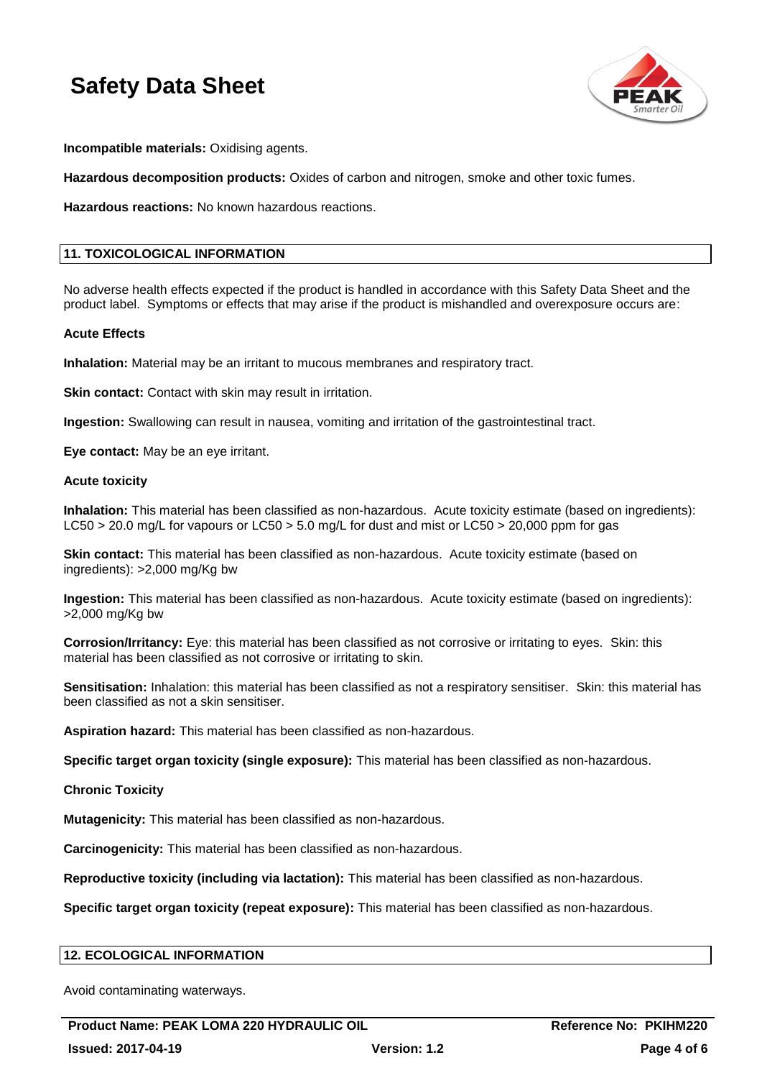

**Incompatible materials:** Oxidising agents.

**Hazardous decomposition products:** Oxides of carbon and nitrogen, smoke and other toxic fumes.

**Hazardous reactions:** No known hazardous reactions.

# **11. TOXICOLOGICAL INFORMATION**

No adverse health effects expected if the product is handled in accordance with this Safety Data Sheet and the product label. Symptoms or effects that may arise if the product is mishandled and overexposure occurs are:

#### **Acute Effects**

**Inhalation:** Material may be an irritant to mucous membranes and respiratory tract.

**Skin contact:** Contact with skin may result in irritation.

**Ingestion:** Swallowing can result in nausea, vomiting and irritation of the gastrointestinal tract.

**Eye contact:** May be an eye irritant.

#### **Acute toxicity**

**Inhalation:** This material has been classified as non-hazardous. Acute toxicity estimate (based on ingredients): LC50 > 20.0 mg/L for vapours or LC50 > 5.0 mg/L for dust and mist or LC50 > 20,000 ppm for gas

**Skin contact:** This material has been classified as non-hazardous. Acute toxicity estimate (based on ingredients): >2,000 mg/Kg bw

**Ingestion:** This material has been classified as non-hazardous. Acute toxicity estimate (based on ingredients): >2,000 mg/Kg bw

**Corrosion/Irritancy:** Eye: this material has been classified as not corrosive or irritating to eyes. Skin: this material has been classified as not corrosive or irritating to skin.

**Sensitisation:** Inhalation: this material has been classified as not a respiratory sensitiser. Skin: this material has been classified as not a skin sensitiser.

**Aspiration hazard:** This material has been classified as non-hazardous.

**Specific target organ toxicity (single exposure):** This material has been classified as non-hazardous.

**Chronic Toxicity**

**Mutagenicity:** This material has been classified as non-hazardous.

**Carcinogenicity:** This material has been classified as non-hazardous.

**Reproductive toxicity (including via lactation):** This material has been classified as non-hazardous.

**Specific target organ toxicity (repeat exposure):** This material has been classified as non-hazardous.

### **12. ECOLOGICAL INFORMATION**

Avoid contaminating waterways.

Product Name: PEAK LOMA 220 HYDRAULIC OIL **Reference No: PKIHM220 Issued: 2017-04-19 Version: 1.2 Page 4 of 6**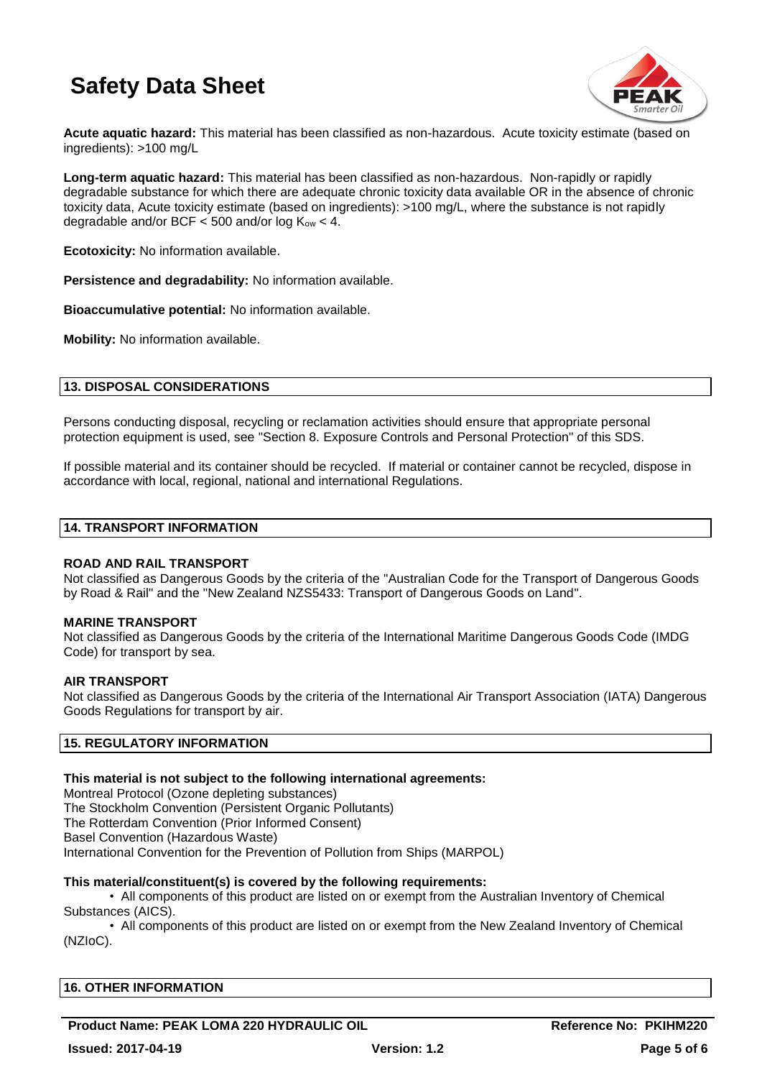

**Acute aquatic hazard:** This material has been classified as non-hazardous. Acute toxicity estimate (based on ingredients): >100 mg/L

**Long-term aquatic hazard:** This material has been classified as non-hazardous. Non-rapidly or rapidly degradable substance for which there are adequate chronic toxicity data available OR in the absence of chronic toxicity data, Acute toxicity estimate (based on ingredients): >100 mg/L, where the substance is not rapidly degradable and/or BCF  $<$  500 and/or log  $K_{ow}$   $<$  4.

**Ecotoxicity:** No information available.

**Persistence and degradability:** No information available.

**Bioaccumulative potential:** No information available.

**Mobility:** No information available.

## **13. DISPOSAL CONSIDERATIONS**

Persons conducting disposal, recycling or reclamation activities should ensure that appropriate personal protection equipment is used, see "Section 8. Exposure Controls and Personal Protection" of this SDS.

If possible material and its container should be recycled. If material or container cannot be recycled, dispose in accordance with local, regional, national and international Regulations.

#### **14. TRANSPORT INFORMATION**

#### **ROAD AND RAIL TRANSPORT**

Not classified as Dangerous Goods by the criteria of the "Australian Code for the Transport of Dangerous Goods by Road & Rail" and the "New Zealand NZS5433: Transport of Dangerous Goods on Land".

#### **MARINE TRANSPORT**

Not classified as Dangerous Goods by the criteria of the International Maritime Dangerous Goods Code (IMDG Code) for transport by sea.

#### **AIR TRANSPORT**

Not classified as Dangerous Goods by the criteria of the International Air Transport Association (IATA) Dangerous Goods Regulations for transport by air.

### **15. REGULATORY INFORMATION**

#### **This material is not subject to the following international agreements:**

Montreal Protocol (Ozone depleting substances) The Stockholm Convention (Persistent Organic Pollutants) The Rotterdam Convention (Prior Informed Consent) Basel Convention (Hazardous Waste) International Convention for the Prevention of Pollution from Ships (MARPOL)

### **This material/constituent(s) is covered by the following requirements:**

• All components of this product are listed on or exempt from the Australian Inventory of Chemical Substances (AICS).

• All components of this product are listed on or exempt from the New Zealand Inventory of Chemical (NZIoC).